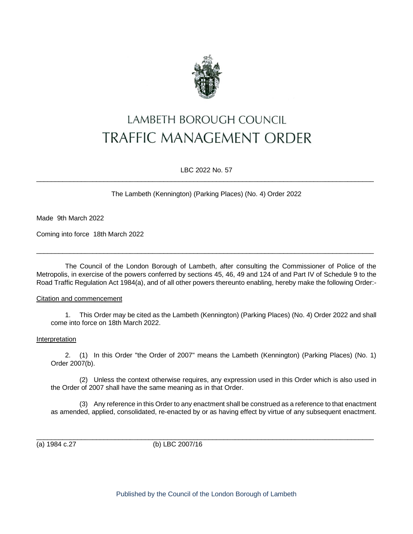

# LAMBETH BOROUGH COUNCIL **TRAFFIC MANAGEMENT ORDER**

LBC 2022 No. 57  $\_$  ,  $\_$  ,  $\_$  ,  $\_$  ,  $\_$  ,  $\_$  ,  $\_$  ,  $\_$  ,  $\_$  ,  $\_$  ,  $\_$  ,  $\_$  ,  $\_$  ,  $\_$  ,  $\_$  ,  $\_$  ,  $\_$  ,  $\_$  ,  $\_$  ,  $\_$  ,  $\_$  ,  $\_$  ,  $\_$  ,  $\_$  ,  $\_$  ,  $\_$  ,  $\_$  ,  $\_$  ,  $\_$  ,  $\_$  ,  $\_$  ,  $\_$  ,  $\_$  ,  $\_$  ,  $\_$  ,  $\_$  ,  $\_$  ,

The Lambeth (Kennington) (Parking Places) (No. 4) Order 2022

Made 9th March 2022

Coming into force 18th March 2022

The Council of the London Borough of Lambeth, after consulting the Commissioner of Police of the Metropolis, in exercise of the powers conferred by sections 45, 46, 49 and 124 of and Part IV of Schedule 9 to the Road Traffic Regulation Act 1984(a), and of all other powers thereunto enabling, hereby make the following Order:-

 $\_$  ,  $\_$  ,  $\_$  ,  $\_$  ,  $\_$  ,  $\_$  ,  $\_$  ,  $\_$  ,  $\_$  ,  $\_$  ,  $\_$  ,  $\_$  ,  $\_$  ,  $\_$  ,  $\_$  ,  $\_$  ,  $\_$  ,  $\_$  ,  $\_$  ,  $\_$  ,  $\_$  ,  $\_$  ,  $\_$  ,  $\_$  ,  $\_$  ,  $\_$  ,  $\_$  ,  $\_$  ,  $\_$  ,  $\_$  ,  $\_$  ,  $\_$  ,  $\_$  ,  $\_$  ,  $\_$  ,  $\_$  ,  $\_$  ,

## Citation and commencement

1. This Order may be cited as the Lambeth (Kennington) (Parking Places) (No. 4) Order 2022 and shall come into force on 18th March 2022.

#### Interpretation

2. (1) In this Order "the Order of 2007" means the Lambeth (Kennington) (Parking Places) (No. 1) Order 2007(b).

(2) Unless the context otherwise requires, any expression used in this Order which is also used in the Order of 2007 shall have the same meaning as in that Order.

(3) Any reference in this Order to any enactment shall be construed as a reference to that enactment as amended, applied, consolidated, re-enacted by or as having effect by virtue of any subsequent enactment.

(a) 1984 c.27 (b) LBC 2007/16

Published by the Council of the London Borough of Lambeth

 $\_$  ,  $\_$  ,  $\_$  ,  $\_$  ,  $\_$  ,  $\_$  ,  $\_$  ,  $\_$  ,  $\_$  ,  $\_$  ,  $\_$  ,  $\_$  ,  $\_$  ,  $\_$  ,  $\_$  ,  $\_$  ,  $\_$  ,  $\_$  ,  $\_$  ,  $\_$  ,  $\_$  ,  $\_$  ,  $\_$  ,  $\_$  ,  $\_$  ,  $\_$  ,  $\_$  ,  $\_$  ,  $\_$  ,  $\_$  ,  $\_$  ,  $\_$  ,  $\_$  ,  $\_$  ,  $\_$  ,  $\_$  ,  $\_$  ,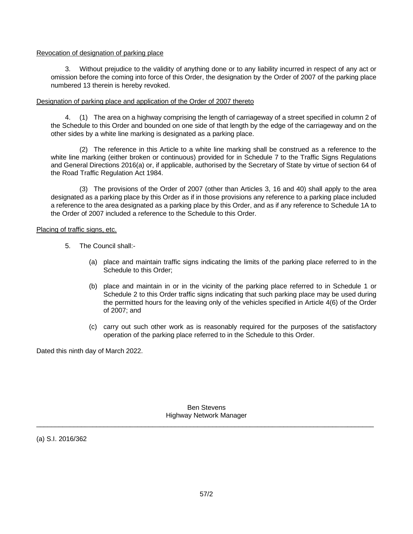## Revocation of designation of parking place

3. Without prejudice to the validity of anything done or to any liability incurred in respect of any act or omission before the coming into force of this Order, the designation by the Order of 2007 of the parking place numbered 13 therein is hereby revoked.

# Designation of parking place and application of the Order of 2007 thereto

4. (1) The area on a highway comprising the length of carriageway of a street specified in column 2 of the Schedule to this Order and bounded on one side of that length by the edge of the carriageway and on the other sides by a white line marking is designated as a parking place.

(2) The reference in this Article to a white line marking shall be construed as a reference to the white line marking (either broken or continuous) provided for in Schedule 7 to the Traffic Signs Regulations and General Directions 2016(a) or, if applicable, authorised by the Secretary of State by virtue of section 64 of the Road Traffic Regulation Act 1984.

(3) The provisions of the Order of 2007 (other than Articles 3, 16 and 40) shall apply to the area designated as a parking place by this Order as if in those provisions any reference to a parking place included a reference to the area designated as a parking place by this Order, and as if any reference to Schedule 1A to the Order of 2007 included a reference to the Schedule to this Order.

# Placing of traffic signs, etc.

- 5. The Council shall:-
	- (a) place and maintain traffic signs indicating the limits of the parking place referred to in the Schedule to this Order;
	- (b) place and maintain in or in the vicinity of the parking place referred to in Schedule 1 or Schedule 2 to this Order traffic signs indicating that such parking place may be used during the permitted hours for the leaving only of the vehicles specified in Article 4(6) of the Order of 2007; and
	- (c) carry out such other work as is reasonably required for the purposes of the satisfactory operation of the parking place referred to in the Schedule to this Order.

Dated this ninth day of March 2022.

Ben Stevens Highway Network Manager  $\_$  ,  $\_$  ,  $\_$  ,  $\_$  ,  $\_$  ,  $\_$  ,  $\_$  ,  $\_$  ,  $\_$  ,  $\_$  ,  $\_$  ,  $\_$  ,  $\_$  ,  $\_$  ,  $\_$  ,  $\_$  ,  $\_$  ,  $\_$  ,  $\_$  ,  $\_$  ,  $\_$  ,  $\_$  ,  $\_$  ,  $\_$  ,  $\_$  ,  $\_$  ,  $\_$  ,  $\_$  ,  $\_$  ,  $\_$  ,  $\_$  ,  $\_$  ,  $\_$  ,  $\_$  ,  $\_$  ,  $\_$  ,  $\_$  ,

(a) S.I. 2016/362